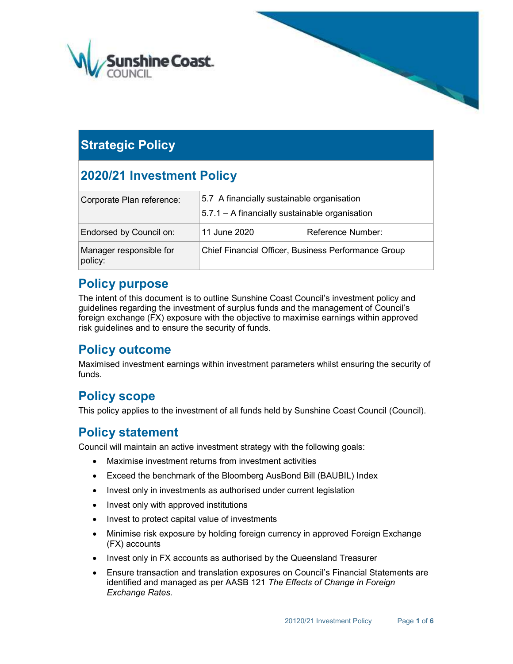

# **Strategic Policy**

# 2020/21 Investment Policy

| Corporate Plan reference:          | 5.7 A financially sustainable organisation          |                   |  |  |  |
|------------------------------------|-----------------------------------------------------|-------------------|--|--|--|
|                                    | 5.7.1 - A financially sustainable organisation      |                   |  |  |  |
| Endorsed by Council on:            | 11 June 2020                                        | Reference Number: |  |  |  |
| Manager responsible for<br>policy: | Chief Financial Officer, Business Performance Group |                   |  |  |  |

## Policy purpose

The intent of this document is to outline Sunshine Coast Council's investment policy and guidelines regarding the investment of surplus funds and the management of Council's foreign exchange (FX) exposure with the objective to maximise earnings within approved risk guidelines and to ensure the security of funds.

# Policy outcome

Maximised investment earnings within investment parameters whilst ensuring the security of funds.

# Policy scope

This policy applies to the investment of all funds held by Sunshine Coast Council (Council).

## Policy statement

Council will maintain an active investment strategy with the following goals:

- Maximise investment returns from investment activities
- Exceed the benchmark of the Bloomberg AusBond Bill (BAUBIL) Index
- Invest only in investments as authorised under current legislation
- Invest only with approved institutions
- Invest to protect capital value of investments
- Minimise risk exposure by holding foreign currency in approved Foreign Exchange (FX) accounts
- Invest only in FX accounts as authorised by the Queensland Treasurer
- Ensure transaction and translation exposures on Council's Financial Statements are identified and managed as per AASB 121 The Effects of Change in Foreign Exchange Rates.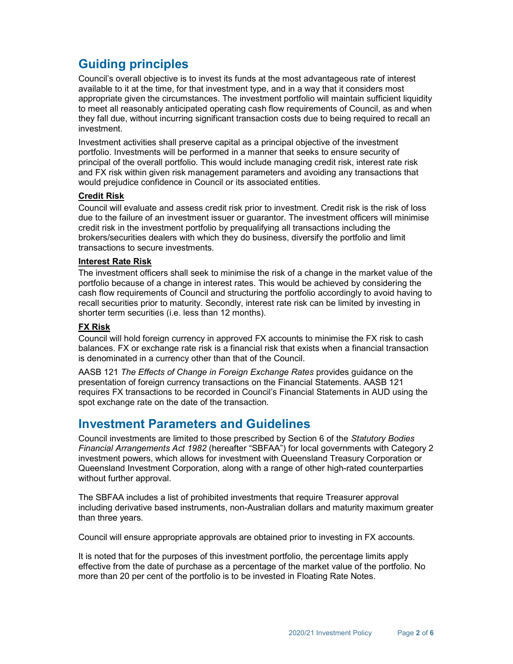# Guiding principles

Council's overall objective is to invest its funds at the most advantageous rate of interest available to it at the time, for that investment type, and in a way that it considers most appropriate given the circumstances. The investment portfolio will maintain sufficient liquidity to meet all reasonably anticipated operating cash flow requirements of Council, as and when they fall due, without incurring significant transaction costs due to being required to recall an investment.

Investment activities shall preserve capital as a principal objective of the investment portfolio. Investments will be performed in a manner that seeks to ensure security of principal of the overall portfolio. This would include managing credit risk, interest rate risk and FX risk within given risk management parameters and avoiding any transactions that would prejudice confidence in Council or its associated entities.

#### Credit Risk

Council will evaluate and assess credit risk prior to investment. Credit risk is the risk of loss due to the failure of an investment issuer or guarantor. The investment officers will minimise credit risk in the investment portfolio by prequalifying all transactions including the brokers/securities dealers with which they do business, diversify the portfolio and limit transactions to secure investments.

#### Interest Rate Risk

The investment officers shall seek to minimise the risk of a change in the market value of the portfolio because of a change in interest rates. This would be achieved by considering the cash flow requirements of Council and structuring the portfolio accordingly to avoid having to recall securities prior to maturity. Secondly, interest rate risk can be limited by investing in shorter term securities (i.e. less than 12 months).

#### FX Risk

Council will hold foreign currency in approved FX accounts to minimise the FX risk to cash balances. FX or exchange rate risk is a financial risk that exists when a financial transaction is denominated in a currency other than that of the Council.

AASB 121 The Effects of Change in Foreign Exchange Rates provides guidance on the presentation of foreign currency transactions on the Financial Statements. AASB 121 requires FX transactions to be recorded in Council's Financial Statements in AUD using the spot exchange rate on the date of the transaction.

### Investment Parameters and Guidelines

Council investments are limited to those prescribed by Section 6 of the Statutory Bodies Financial Arrangements Act 1982 (hereafter "SBFAA") for local governments with Category 2 investment powers, which allows for investment with Queensland Treasury Corporation or Queensland Investment Corporation, along with a range of other high-rated counterparties without further approval.

The SBFAA includes a list of prohibited investments that require Treasurer approval including derivative based instruments, non-Australian dollars and maturity maximum greater than three years.

Council will ensure appropriate approvals are obtained prior to investing in FX accounts.

It is noted that for the purposes of this investment portfolio, the percentage limits apply effective from the date of purchase as a percentage of the market value of the portfolio. No more than 20 per cent of the portfolio is to be invested in Floating Rate Notes.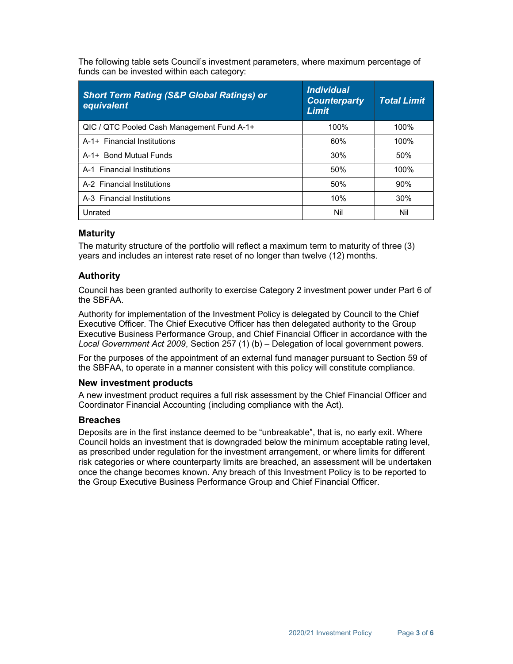The following table sets Council's investment parameters, where maximum percentage of funds can be invested within each category:

| <b>Short Term Rating (S&amp;P Global Ratings) or</b><br>equivalent | <i><b>Individual</b></i><br><b>Counterparty</b><br><b>Limit</b> | <b>Total Limit</b> |
|--------------------------------------------------------------------|-----------------------------------------------------------------|--------------------|
| QIC / QTC Pooled Cash Management Fund A-1+                         | 100%                                                            | 100%               |
| A-1+ Financial Institutions                                        | 60%                                                             | 100%               |
| A-1+ Bond Mutual Funds                                             | 30%                                                             | 50%                |
| A-1 Financial Institutions                                         | 50%                                                             | 100%               |
| A-2 Financial Institutions                                         | 50%                                                             | 90%                |
| A-3 Financial Institutions                                         | 10%                                                             | 30%                |
| Unrated                                                            | Nil                                                             | Nil                |

### Maturity

The maturity structure of the portfolio will reflect a maximum term to maturity of three (3) years and includes an interest rate reset of no longer than twelve (12) months.

### Authority

Council has been granted authority to exercise Category 2 investment power under Part 6 of the SBFAA.

Authority for implementation of the Investment Policy is delegated by Council to the Chief Executive Officer. The Chief Executive Officer has then delegated authority to the Group Executive Business Performance Group, and Chief Financial Officer in accordance with the Local Government Act 2009, Section 257 (1) (b) – Delegation of local government powers.

For the purposes of the appointment of an external fund manager pursuant to Section 59 of the SBFAA, to operate in a manner consistent with this policy will constitute compliance.

#### New investment products

A new investment product requires a full risk assessment by the Chief Financial Officer and Coordinator Financial Accounting (including compliance with the Act).

#### **Breaches**

Deposits are in the first instance deemed to be "unbreakable", that is, no early exit. Where Council holds an investment that is downgraded below the minimum acceptable rating level, as prescribed under regulation for the investment arrangement, or where limits for different risk categories or where counterparty limits are breached, an assessment will be undertaken once the change becomes known. Any breach of this Investment Policy is to be reported to the Group Executive Business Performance Group and Chief Financial Officer.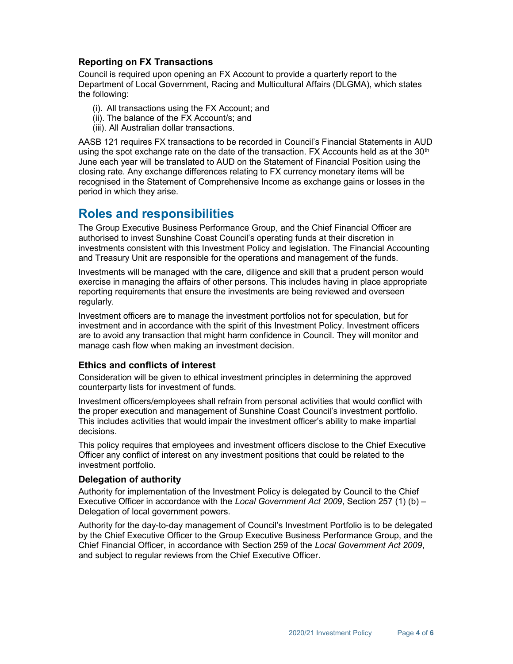### Reporting on FX Transactions

Council is required upon opening an FX Account to provide a quarterly report to the Department of Local Government, Racing and Multicultural Affairs (DLGMA), which states the following:

- (i). All transactions using the FX Account; and
- (ii). The balance of the FX Account/s; and
- (iii). All Australian dollar transactions.

AASB 121 requires FX transactions to be recorded in Council's Financial Statements in AUD using the spot exchange rate on the date of the transaction. FX Accounts held as at the  $30<sup>th</sup>$ June each year will be translated to AUD on the Statement of Financial Position using the closing rate. Any exchange differences relating to FX currency monetary items will be recognised in the Statement of Comprehensive Income as exchange gains or losses in the period in which they arise.

## Roles and responsibilities

The Group Executive Business Performance Group, and the Chief Financial Officer are authorised to invest Sunshine Coast Council's operating funds at their discretion in investments consistent with this Investment Policy and legislation. The Financial Accounting and Treasury Unit are responsible for the operations and management of the funds.

Investments will be managed with the care, diligence and skill that a prudent person would exercise in managing the affairs of other persons. This includes having in place appropriate reporting requirements that ensure the investments are being reviewed and overseen regularly.

Investment officers are to manage the investment portfolios not for speculation, but for investment and in accordance with the spirit of this Investment Policy. Investment officers are to avoid any transaction that might harm confidence in Council. They will monitor and manage cash flow when making an investment decision.

### Ethics and conflicts of interest

Consideration will be given to ethical investment principles in determining the approved counterparty lists for investment of funds.

Investment officers/employees shall refrain from personal activities that would conflict with the proper execution and management of Sunshine Coast Council's investment portfolio. This includes activities that would impair the investment officer's ability to make impartial decisions.

This policy requires that employees and investment officers disclose to the Chief Executive Officer any conflict of interest on any investment positions that could be related to the investment portfolio.

#### Delegation of authority

Authority for implementation of the Investment Policy is delegated by Council to the Chief Executive Officer in accordance with the Local Government Act 2009, Section 257 (1) (b) – Delegation of local government powers.

Authority for the day-to-day management of Council's Investment Portfolio is to be delegated by the Chief Executive Officer to the Group Executive Business Performance Group, and the Chief Financial Officer, in accordance with Section 259 of the Local Government Act 2009, and subject to regular reviews from the Chief Executive Officer.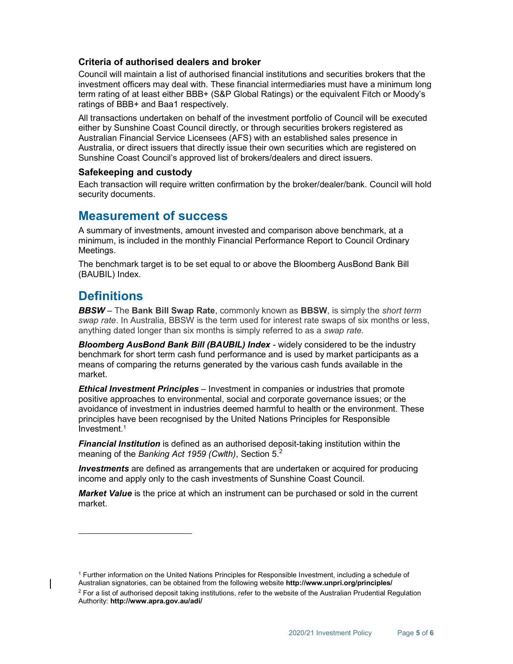### Criteria of authorised dealers and broker

Council will maintain a list of authorised financial institutions and securities brokers that the investment officers may deal with. These financial intermediaries must have a minimum long term rating of at least either BBB+ (S&P Global Ratings) or the equivalent Fitch or Moody's ratings of BBB+ and Baa1 respectively.

All transactions undertaken on behalf of the investment portfolio of Council will be executed either by Sunshine Coast Council directly, or through securities brokers registered as Australian Financial Service Licensees (AFS) with an established sales presence in Australia, or direct issuers that directly issue their own securities which are registered on Sunshine Coast Council's approved list of brokers/dealers and direct issuers.

#### Safekeeping and custody

Each transaction will require written confirmation by the broker/dealer/bank. Council will hold security documents.

### Measurement of success

A summary of investments, amount invested and comparison above benchmark, at a minimum, is included in the monthly Financial Performance Report to Council Ordinary Meetings.

The benchmark target is to be set equal to or above the Bloomberg AusBond Bank Bill (BAUBIL) Index.

## **Definitions**

-

**BBSW** – The Bank Bill Swap Rate, commonly known as BBSW, is simply the *short term* swap rate. In Australia, BBSW is the term used for interest rate swaps of six months or less, anything dated longer than six months is simply referred to as a swap rate.

Bloomberg AusBond Bank Bill (BAUBIL) Index - widely considered to be the industry benchmark for short term cash fund performance and is used by market participants as a means of comparing the returns generated by the various cash funds available in the market.

**Ethical Investment Principles** – Investment in companies or industries that promote positive approaches to environmental, social and corporate governance issues; or the avoidance of investment in industries deemed harmful to health or the environment. These principles have been recognised by the United Nations Principles for Responsible Investment.<sup>1</sup>

**Financial Institution** is defined as an authorised deposit-taking institution within the meaning of the Banking Act 1959 (Cwlth), Section  $5<sup>2</sup>$ 

**Investments** are defined as arrangements that are undertaken or acquired for producing income and apply only to the cash investments of Sunshine Coast Council.

Market Value is the price at which an instrument can be purchased or sold in the current market.

<sup>1</sup> Further information on the United Nations Principles for Responsible Investment, including a schedule of Australian signatories, can be obtained from the following website http://www.unpri.org/principles/

 $^2$  For a list of authorised deposit taking institutions, refer to the website of the Australian Prudential Regulation Authority: http://www.apra.gov.au/adi/